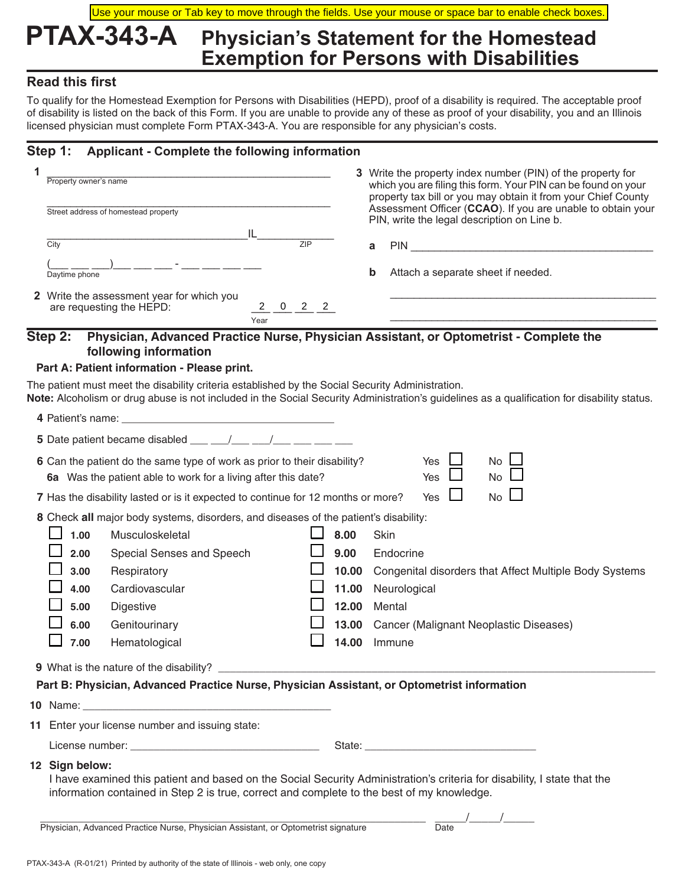### **PTAX-343-A Physician's Statement for the Homestead Exemption for Persons with Disabilities** Use your mouse or Tab key to move through the fields. Use your mouse or space bar to enable check boxes.

### **Read this first**

To qualify for the Homestead Exemption for Persons with Disabilities (HEPD), proof of a disability is required. The acceptable proof of disability is listed on the back of this Form. If you are unable to provide any of these as proof of your disability, you and an Illinois licensed physician must complete Form PTAX-343-A. You are responsible for any physician's costs.

### **Step 1: Applicant - Complete the following information**

| 1 | Property owner's name<br>Street address of homestead property<br>IL<br>$\overline{7IP}$<br>City<br>Daytime phone                                                                                                                                                                                                                                                         |                                                           | 3 Write the property index number (PIN) of the property for<br>which you are filing this form. Your PIN can be found on your<br>property tax bill or you may obtain it from your Chief County<br>Assessment Officer (CCAO). If you are unable to obtain your<br>PIN, write the legal description on Line b.<br>PIN PIN AND CONTROL CONTROL CONTROL CONTROL CONTROL CONTROL CONTROL CONTROL CONTROL CONTROL CONTROL CONTROL CONTROL CONTROL CONTROL CONTROL CONTROL CONTROL CONTROL CONTROL CONTROL CONTROL CONTROL CONTROL CONTROL CONTROL CO<br>a<br>b<br>Attach a separate sheet if needed. |
|---|--------------------------------------------------------------------------------------------------------------------------------------------------------------------------------------------------------------------------------------------------------------------------------------------------------------------------------------------------------------------------|-----------------------------------------------------------|-----------------------------------------------------------------------------------------------------------------------------------------------------------------------------------------------------------------------------------------------------------------------------------------------------------------------------------------------------------------------------------------------------------------------------------------------------------------------------------------------------------------------------------------------------------------------------------------------|
|   | 2 Write the assessment year for which you<br>$2\qquad 0\qquad 2\qquad 2$<br>are requesting the HEPD:<br>Year                                                                                                                                                                                                                                                             |                                                           |                                                                                                                                                                                                                                                                                                                                                                                                                                                                                                                                                                                               |
|   | Step 2:<br>Physician, Advanced Practice Nurse, Physician Assistant, or Optometrist - Complete the<br>following information<br>Part A: Patient information - Please print.<br>The patient must meet the disability criteria established by the Social Security Administration.                                                                                            |                                                           |                                                                                                                                                                                                                                                                                                                                                                                                                                                                                                                                                                                               |
|   | 5 Date patient became disabled ___ __/___ __/___<br>6 Can the patient do the same type of work as prior to their disability?                                                                                                                                                                                                                                             |                                                           | Note: Alcoholism or drug abuse is not included in the Social Security Administration's guidelines as a qualification for disability status.<br>$No \Box$<br>Yes                                                                                                                                                                                                                                                                                                                                                                                                                               |
|   | 6a Was the patient able to work for a living after this date?<br>7 Has the disability lasted or is it expected to continue for 12 months or more?                                                                                                                                                                                                                        |                                                           | No<br>Yes<br><b>No</b><br>Yes                                                                                                                                                                                                                                                                                                                                                                                                                                                                                                                                                                 |
|   | 8 Check all major body systems, disorders, and diseases of the patient's disability:<br>1.00<br>Musculoskeletal<br>2.00<br>Special Senses and Speech<br>3.00<br>Respiratory<br>4.00<br>Cardiovascular<br>5.00<br>Digestive<br>6.00<br>Genitourinary<br>7.00<br>Hematological                                                                                             | 8.00<br>9.00<br>10.00<br>11.00<br>12.00<br>13.00<br>14.00 | Skin<br>Endocrine<br>Congenital disorders that Affect Multiple Body Systems<br>Neurological<br>Mental<br>Cancer (Malignant Neoplastic Diseases)<br>Immune                                                                                                                                                                                                                                                                                                                                                                                                                                     |
|   | 9 What is the nature of the disability?<br>Part B: Physician, Advanced Practice Nurse, Physician Assistant, or Optometrist information<br>10 Name: The Second Contract of the Second Contract of the Second Contract of the Second Contract of the Second Contract of the Second Contract of the Second Contract of the Second Contract of the Second Contract of the Se |                                                           |                                                                                                                                                                                                                                                                                                                                                                                                                                                                                                                                                                                               |
|   | 11 Enter your license number and issuing state:                                                                                                                                                                                                                                                                                                                          |                                                           |                                                                                                                                                                                                                                                                                                                                                                                                                                                                                                                                                                                               |
|   | 12 Sign below:<br>I have examined this patient and based on the Social Security Administration's criteria for disability, I state that the<br>information contained in Step 2 is true, correct and complete to the best of my knowledge.<br>Physician, Advanced Practice Nurse, Physician Assistant, or Optometrist signature                                            |                                                           | $\frac{\rho}{\text{Date}}$                                                                                                                                                                                                                                                                                                                                                                                                                                                                                                                                                                    |